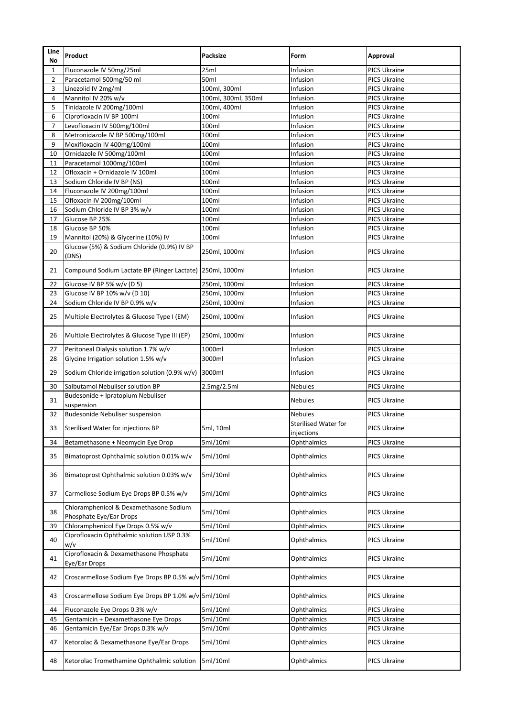| Line<br><b>No</b> | <b>Product</b>                                                    | <b>Packsize</b>     | Form                        | Approval            |
|-------------------|-------------------------------------------------------------------|---------------------|-----------------------------|---------------------|
| $\mathbf{1}$      | Fluconazole IV 50mg/25ml                                          | 25ml                | Infusion                    | <b>PICS Ukraine</b> |
| $\overline{2}$    | Paracetamol 500mg/50 ml                                           | 50ml                | Infusion                    | <b>PICS Ukraine</b> |
| 3                 | Linezolid IV 2mg/ml                                               | 100ml, 300ml        | Infusion                    | <b>PICS Ukraine</b> |
| 4                 | Mannitol IV 20% w/v                                               | 100ml, 300ml, 350ml | Infusion                    | <b>PICS Ukraine</b> |
| 5                 | Tinidazole IV 200mg/100ml                                         | 100ml, 400ml        | Infusion                    | <b>PICS Ukraine</b> |
| 6                 | Ciprofloxacin IV BP 100ml                                         | 100ml               | Infusion                    | <b>PICS Ukraine</b> |
| $\overline{7}$    | Levofloxacin IV 500mg/100ml                                       | 100ml               | Infusion                    | <b>PICS Ukraine</b> |
| 8                 | Metronidazole IV BP 500mg/100ml                                   | 100ml               | Infusion                    | <b>PICS Ukraine</b> |
| 9                 | Moxifloxacin IV 400mg/100ml                                       | 100ml               | Infusion                    | <b>PICS Ukraine</b> |
| 10                | Ornidazole IV 500mg/100ml                                         | 100ml               | Infusion                    | <b>PICS Ukraine</b> |
| 11                | Paracetamol 1000mg/100ml                                          | 100ml               | Infusion                    | <b>PICS Ukraine</b> |
| 12                | Ofloxacin + Ornidazole IV 100ml                                   | 100ml               | Infusion                    | <b>PICS Ukraine</b> |
| 13                | Sodium Chloride IV BP (NS)                                        | 100ml               | Infusion                    | <b>PICS Ukraine</b> |
| 14                | Fluconazole IV 200mg/100ml                                        | 100ml               | Infusion                    | <b>PICS Ukraine</b> |
| 15                | Ofloxacin IV 200mg/100ml                                          | 100ml               | Infusion                    | <b>PICS Ukraine</b> |
| 16                | Sodium Chloride IV BP 3% w/v                                      | 100ml               | Infusion                    | <b>PICS Ukraine</b> |
| 17                | Glucose BP 25%                                                    | 100ml               | Infusion                    | <b>PICS Ukraine</b> |
| 18                | Glucose BP 50%                                                    | 100ml               | Infusion                    | <b>PICS Ukraine</b> |
| 19                | Mannitol (20%) & Glycerine (10%) IV                               | 100ml               | Infusion                    | <b>PICS Ukraine</b> |
| 20                | Glucose (5%) & Sodium Chloride (0.9%) IV BP<br>(DNS)              | 250ml, 1000ml       | Infusion                    | <b>PICS Ukraine</b> |
| 21                | Compound Sodium Lactate BP (Ringer Lactate) 250ml, 1000ml         |                     | Infusion                    | <b>PICS Ukraine</b> |
| 22                | Glucose IV BP 5% w/v (D 5)                                        | 250ml, 1000ml       | Infusion                    | <b>PICS Ukraine</b> |
| 23                | Glucose IV BP 10% w/v (D 10)                                      | 250ml, 1000ml       | Infusion                    | <b>PICS Ukraine</b> |
| 24                | Sodium Chloride IV BP 0.9% w/v                                    | 250ml, 1000ml       | Infusion                    | <b>PICS Ukraine</b> |
| 25                | Multiple Electrolytes & Glucose Type I (EM)                       | 250ml, 1000ml       | Infusion                    | <b>PICS Ukraine</b> |
| 26                | Multiple Electrolytes & Glucose Type III (EP)                     | 250ml, 1000ml       | Infusion                    | <b>PICS Ukraine</b> |
| 27                | Peritoneal Dialysis solution 1.7% w/v                             | 1000ml              | Infusion                    | <b>PICS Ukraine</b> |
| 28                | Glycine Irrigation solution 1.5% w/v                              | 3000ml              | Infusion                    | <b>PICS Ukraine</b> |
| 29                | Sodium Chloride irrigation solution (0.9% w/v)                    | 3000ml              | Infusion                    | <b>PICS Ukraine</b> |
| 30                | Salbutamol Nebuliser solution BP                                  | 2.5mg/2.5ml         | <b>Nebules</b>              | <b>PICS Ukraine</b> |
| 31                | Budesonide + Ipratopium Nebuliser<br>suspension                   |                     | <b>Nebules</b>              | <b>PICS Ukraine</b> |
| 32                | <b>Budesonide Nebuliser suspension</b>                            |                     | <b>Nebules</b>              | <b>PICS Ukraine</b> |
| 33                | Sterilised Water for injections BP                                | 5ml, 10ml           | <b>Sterilised Water for</b> | <b>PICS Ukraine</b> |
|                   |                                                                   |                     | injections                  |                     |
| 34                | Betamethasone + Neomycin Eye Drop                                 | 5ml/10ml            | Ophthalmics                 | <b>PICS Ukraine</b> |
| 35                | Bimatoprost Ophthalmic solution 0.01% w/v                         | 5ml/10ml            | Ophthalmics                 | <b>PICS Ukraine</b> |
| 36                | Bimatoprost Ophthalmic solution 0.03% w/v                         | 5ml/10ml            | Ophthalmics                 | <b>PICS Ukraine</b> |
| 37                | Carmellose Sodium Eye Drops BP 0.5% w/v                           | 5ml/10ml            | Ophthalmics                 | <b>PICS Ukraine</b> |
| 38                | Chloramphenicol & Dexamethasone Sodium<br>Phosphate Eye/Ear Drops | 5ml/10ml            | Ophthalmics                 | <b>PICS Ukraine</b> |
| 39                | Chloramphenicol Eye Drops 0.5% w/v                                | 5ml/10ml            | Ophthalmics                 | <b>PICS Ukraine</b> |
| 40                | Ciprofloxacin Ophthalmic solution USP 0.3%<br>w/v                 | 5ml/10ml            | Ophthalmics                 | <b>PICS Ukraine</b> |
| 41                | Ciprofloxacin & Dexamethasone Phosphate<br>Eye/Ear Drops          | 5ml/10ml            | Ophthalmics                 | <b>PICS Ukraine</b> |
| 42                | Croscarmellose Sodium Eye Drops BP 0.5% w/v 5ml/10ml              |                     | Ophthalmics                 | <b>PICS Ukraine</b> |
| 43                | Croscarmellose Sodium Eye Drops BP 1.0% w/v 5ml/10ml              |                     | Ophthalmics                 | <b>PICS Ukraine</b> |
| 44                | Fluconazole Eye Drops 0.3% w/v                                    | 5ml/10ml            | Ophthalmics                 | <b>PICS Ukraine</b> |
| 45                | Gentamicin + Dexamethasone Eye Drops                              | 5ml/10ml            | Ophthalmics                 | <b>PICS Ukraine</b> |
| 46                | Gentamicin Eye/Ear Drops 0.3% w/v                                 | 5ml/10ml            | Ophthalmics                 | PICS Ukraine        |
| 47                | Ketorolac & Dexamethasone Eye/Ear Drops                           | 5ml/10ml            | Ophthalmics                 | <b>PICS Ukraine</b> |
|                   | Ketorolac Tromethamine Ophthalmic solution                        | 5ml/10ml            | Ophthalmics                 | <b>PICS Ukraine</b> |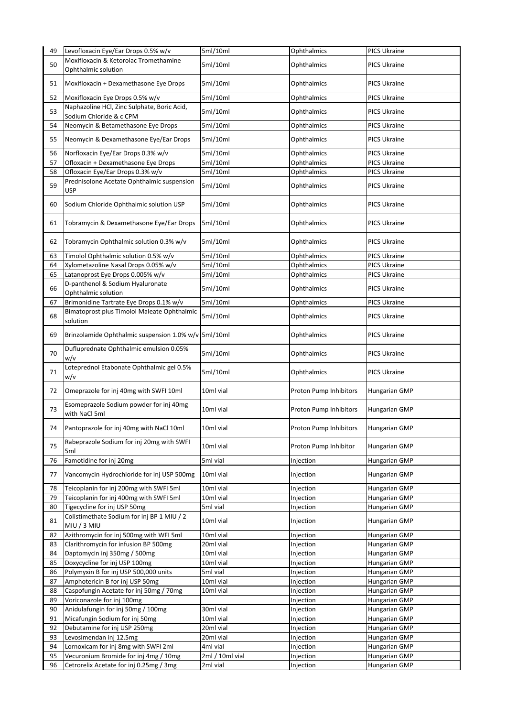| 49       | Levofloxacin Eye/Ear Drops 0.5% w/v                                     | 5ml/10ml             | Ophthalmics                | <b>PICS Ukraine</b>                        |
|----------|-------------------------------------------------------------------------|----------------------|----------------------------|--------------------------------------------|
|          | Moxifloxacin & Ketorolac Tromethamine                                   |                      |                            |                                            |
| 50       | Ophthalmic solution                                                     | 5ml/10ml             | Ophthalmics                | <b>PICS Ukraine</b>                        |
|          |                                                                         |                      |                            |                                            |
| 51       | Moxifloxacin + Dexamethasone Eye Drops                                  | 5ml/10ml             | Ophthalmics                | <b>PICS Ukraine</b>                        |
| 52       | Moxifloxacin Eye Drops 0.5% w/v                                         | 5ml/10ml             | Ophthalmics                | <b>PICS Ukraine</b>                        |
|          | Naphazoline HCl, Zinc Sulphate, Boric Acid,                             |                      |                            |                                            |
| 53       | Sodium Chloride & c CPM                                                 | 5ml/10ml             | Ophthalmics                | <b>PICS Ukraine</b>                        |
| 54       | Neomycin & Betamethasone Eye Drops                                      | 5ml/10ml             | Ophthalmics                | <b>PICS Ukraine</b>                        |
|          |                                                                         |                      |                            |                                            |
| 55       | Neomycin & Dexamethasone Eye/Ear Drops                                  | 5ml/10ml             | Ophthalmics                | <b>PICS Ukraine</b>                        |
|          |                                                                         |                      |                            |                                            |
| 56<br>57 | Norfloxacin Eye/Ear Drops 0.3% w/v                                      | 5ml/10ml<br>5ml/10ml | Ophthalmics<br>Ophthalmics | <b>PICS Ukraine</b><br><b>PICS Ukraine</b> |
| 58       | Ofloxacin + Dexamethasone Eye Drops<br>Ofloxacin Eye/Ear Drops 0.3% w/v |                      |                            |                                            |
|          |                                                                         | 5ml/10ml             | Ophthalmics                | <b>PICS Ukraine</b>                        |
| 59       | Prednisolone Acetate Ophthalmic suspension                              | 5ml/10ml             | Ophthalmics                | <b>PICS Ukraine</b>                        |
|          | <b>USP</b>                                                              |                      |                            |                                            |
| 60       | Sodium Chloride Ophthalmic solution USP                                 | 5ml/10ml             | Ophthalmics                | <b>PICS Ukraine</b>                        |
|          |                                                                         |                      |                            |                                            |
| 61       | Tobramycin & Dexamethasone Eye/Ear Drops                                | 5ml/10ml             | Ophthalmics                | <b>PICS Ukraine</b>                        |
|          |                                                                         |                      |                            |                                            |
| 62       | Tobramycin Ophthalmic solution 0.3% w/v                                 | 5ml/10ml             | Ophthalmics                | <b>PICS Ukraine</b>                        |
|          |                                                                         |                      |                            |                                            |
| 63       | Timolol Ophthalmic solution 0.5% w/v                                    | 5ml/10ml             | Ophthalmics                | PICS Ukraine                               |
| 64       | Xylometazoline Nasal Drops 0.05% w/v                                    | 5ml/10ml             | Ophthalmics                | <b>PICS Ukraine</b>                        |
| 65       | Latanoprost Eye Drops 0.005% w/v                                        | 5ml/10ml             | Ophthalmics                | <b>PICS Ukraine</b>                        |
| 66       | D-panthenol & Sodium Hyaluronate                                        | 5ml/10ml             | Ophthalmics                | <b>PICS Ukraine</b>                        |
|          | Ophthalmic solution                                                     |                      |                            |                                            |
| 67       | Brimonidine Tartrate Eye Drops 0.1% w/v                                 | 5ml/10ml             | Ophthalmics                | PICS Ukraine                               |
| 68       | Bimatoprost plus Timolol Maleate Ophthalmic                             | 5ml/10ml             | Ophthalmics                | <b>PICS Ukraine</b>                        |
|          | solution                                                                |                      |                            |                                            |
| 69       | Brinzolamide Ophthalmic suspension 1.0% w/v Sml/10ml                    |                      | Ophthalmics                | PICS Ukraine                               |
|          |                                                                         |                      |                            |                                            |
| 70       | Dufluprednate Ophthalmic emulsion 0.05%                                 | 5ml/10ml             | Ophthalmics                | <b>PICS Ukraine</b>                        |
|          | w/v                                                                     |                      |                            |                                            |
| 71       | Loteprednol Etabonate Ophthalmic gel 0.5%                               | 5ml/10ml             | Ophthalmics                | <b>PICS Ukraine</b>                        |
|          | w/v                                                                     |                      |                            |                                            |
| 72       | Omeprazole for inj 40mg with SWFI 10ml                                  | 10ml vial            | Proton Pump Inhibitors     | <b>Hungarian GMP</b>                       |
|          |                                                                         |                      |                            |                                            |
| 73       | Esomeprazole Sodium powder for inj 40mg                                 | 10ml vial            | Proton Pump Inhibitors     | <b>Hungarian GMP</b>                       |
|          | with NaCl 5ml                                                           |                      |                            |                                            |
| 74       | Pantoprazole for inj 40mg with NaCl 10ml                                | 10ml vial            | Proton Pump Inhibitors     | <b>Hungarian GMP</b>                       |
|          |                                                                         |                      |                            |                                            |
| 75       | Rabeprazole Sodium for inj 20mg with SWFI                               | 10ml vial            | Proton Pump Inhibitor      | <b>Hungarian GMP</b>                       |
|          | 5ml                                                                     |                      |                            |                                            |
| 76       | Famotidine for inj 20mg                                                 | 5ml vial             | Injection                  | <b>Hungarian GMP</b>                       |
| 77       | Vancomycin Hydrochloride for inj USP 500mg                              | 10ml vial            | Injection                  | <b>Hungarian GMP</b>                       |
|          |                                                                         |                      |                            |                                            |
| 78       | Teicoplanin for inj 200mg with SWFI 5ml                                 | 10ml vial            | Injection                  | <b>Hungarian GMP</b>                       |
| 79       | Teicoplanin for inj 400mg with SWFI 5ml                                 | 10ml vial            | Injection                  | <b>Hungarian GMP</b>                       |
| 80       | Tigecycline for inj USP 50mg                                            | 5ml vial             | Injection                  | <b>Hungarian GMP</b>                       |
| 81       | Colistimethate Sodium for inj BP 1 MIU / 2                              | 10ml vial            | Injection                  | <b>Hungarian GMP</b>                       |
|          | MIU / 3 MIU                                                             |                      |                            |                                            |
| 82       | Azithromycin for inj 500mg with WFI 5ml                                 | 10ml vial            | Injection                  | Hungarian GMP                              |
| 83       | Clarithromycin for infusion BP 500mg                                    | 20ml vial            | Injection                  | <b>Hungarian GMP</b>                       |
| 84       | Daptomycin inj 350mg / 500mg                                            | 10ml vial            | Injection                  | Hungarian GMP                              |
| 85       | Doxycycline for inj USP 100mg                                           | 10ml vial            | Injection                  | <b>Hungarian GMP</b>                       |
| 86       | Polymyxin B for inj USP 500,000 units                                   | 5ml vial             | Injection                  | Hungarian GMP                              |
| 87       | Amphotericin B for inj USP 50mg                                         | 10ml vial            | Injection                  | Hungarian GMP                              |
| 88       | Caspofungin Acetate for inj 50mg / 70mg                                 | 10ml vial            | Injection                  | Hungarian GMP                              |
| 89       | Voriconazole for inj 100mg                                              |                      | Injection                  | Hungarian GMP                              |
| 90       | Anidulafungin for inj 50mg / 100mg                                      | 30ml vial            | Injection                  | Hungarian GMP                              |
| 91       | Micafungin Sodium for inj 50mg                                          | 10ml vial            | Injection                  | <b>Hungarian GMP</b>                       |
| 92       | Debutamine for inj USP 250mg                                            | 20ml vial            | Injection                  | Hungarian GMP                              |
| 93       | Levosimendan inj 12.5mg                                                 | 20ml vial            | Injection                  | Hungarian GMP                              |
| 94       | Lornoxicam for inj 8mg with SWFI 2ml                                    | 4ml vial             | Injection                  | <b>Hungarian GMP</b>                       |
| 95       | Vecuronium Bromide for inj 4mg / 10mg                                   | 2ml / 10ml vial      | Injection                  | <b>Hungarian GMP</b>                       |
| 96       | Cetrorelix Acetate for inj 0.25mg / 3mg                                 | 2ml vial             | Injection                  | <b>Hungarian GMP</b>                       |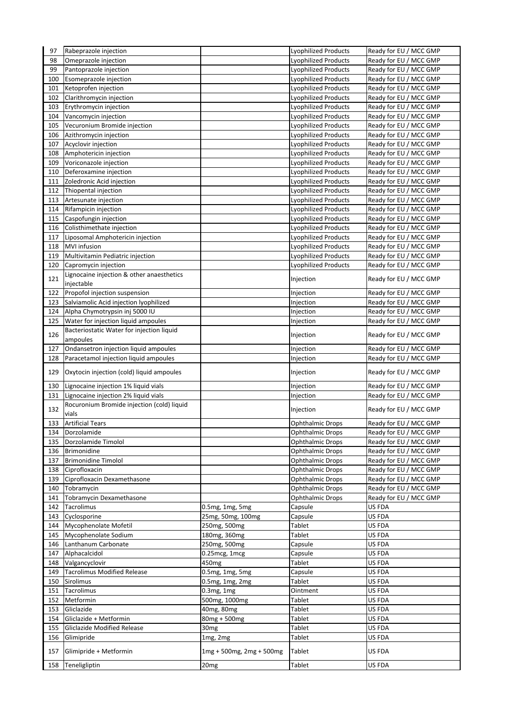|            | Rabeprazole injection                                   |                                      | <b>Lyophilized Products</b>                                | Ready for EU / MCC GMP                                            |
|------------|---------------------------------------------------------|--------------------------------------|------------------------------------------------------------|-------------------------------------------------------------------|
| 98         | Omeprazole injection                                    |                                      | Lyophilized Products                                       | Ready for EU / MCC GMP                                            |
| 99         | Pantoprazole injection                                  |                                      | Lyophilized Products                                       | Ready for EU / MCC GMP                                            |
| 100        | Esomeprazole injection                                  |                                      | Lyophilized Products                                       | Ready for EU / MCC GMP                                            |
| 101        | Ketoprofen injection                                    |                                      | <b>Lyophilized Products</b>                                | Ready for EU / MCC GMP                                            |
| 102        | Clarithromycin injection                                |                                      | Lyophilized Products                                       | Ready for EU / MCC GMP                                            |
| 103        | Erythromycin injection                                  |                                      | <b>Lyophilized Products</b>                                | Ready for EU / MCC GMP                                            |
| 104        | Vancomycin injection                                    |                                      | <b>Lyophilized Products</b>                                | Ready for EU / MCC GMP                                            |
| 105        | Vecuronium Bromide injection                            |                                      | <b>Lyophilized Products</b>                                | Ready for EU / MCC GMP                                            |
| 106        | Azithromycin injection                                  |                                      | Lyophilized Products                                       | Ready for EU / MCC GMP                                            |
| 107        | Acyclovir injection                                     |                                      | Lyophilized Products                                       | Ready for EU / MCC GMP                                            |
| 108        | Amphotericin injection                                  |                                      | Lyophilized Products                                       | Ready for EU / MCC GMP                                            |
| 109        | Voriconazole injection                                  |                                      | <b>Lyophilized Products</b>                                | Ready for EU / MCC GMP                                            |
| 110        | Deferoxamine injection                                  |                                      | <b>Lyophilized Products</b>                                | Ready for EU / MCC GMP                                            |
| 111        | Zoledronic Acid injection                               |                                      | <b>Lyophilized Products</b>                                | Ready for EU / MCC GMP                                            |
| 112        | Thiopental injection                                    |                                      | Lyophilized Products                                       | Ready for EU / MCC GMP                                            |
| 113<br>114 | Artesunate injection<br>Rifampicin injection            |                                      | Lyophilized Products<br>Lyophilized Products               | Ready for EU / MCC GMP<br>Ready for EU / MCC GMP                  |
| 115        | Caspofungin injection                                   |                                      | <b>Lyophilized Products</b>                                | Ready for EU / MCC GMP                                            |
| 116        | Colisthimethate injection                               |                                      | <b>Lyophilized Products</b>                                | Ready for EU / MCC GMP                                            |
|            |                                                         |                                      |                                                            |                                                                   |
| 117<br>118 | Liposomal Amphotericin injection<br><b>MVI</b> infusion |                                      | <b>Lyophilized Products</b><br><b>Lyophilized Products</b> | Ready for EU / MCC GMP<br>Ready for EU / MCC GMP                  |
| 119        | Multivitamin Pediatric injection                        |                                      | Lyophilized Products                                       | Ready for EU / MCC GMP                                            |
| 120        | Capromycin injection                                    |                                      | <b>Lyophilized Products</b>                                | Ready for EU / MCC GMP                                            |
|            | Lignocaine injection & other anaesthetics               |                                      |                                                            |                                                                   |
| 121        | injectable                                              |                                      | Injection                                                  | Ready for EU / MCC GMP                                            |
| 122        | Propofol injection suspension                           |                                      | Injection                                                  | Ready for EU / MCC GMP                                            |
| 123        | Salviamolic Acid injection lyophilized                  |                                      | Injection                                                  | Ready for EU / MCC GMP                                            |
| 124        | Alpha Chymotrypsin inj 5000 IU                          |                                      | Injection                                                  | Ready for EU / MCC GMP                                            |
| 125        | Water for injection liquid ampoules                     |                                      | Injection                                                  | Ready for EU / MCC GMP                                            |
| 126        | Bacteriostatic Water for injection liquid<br>ampoules   |                                      | Injection                                                  | Ready for EU / MCC GMP                                            |
| 127        | Ondansetron injection liquid ampoules                   |                                      | Injection                                                  | Ready for EU / MCC GMP                                            |
| 128        | Paracetamol injection liquid ampoules                   |                                      | Injection                                                  | Ready for EU / MCC GMP                                            |
| 129        | Oxytocin injection (cold) liquid ampoules               |                                      | Injection                                                  | Ready for EU / MCC GMP                                            |
| 130        | Lignocaine injection 1% liquid vials                    |                                      | Injection                                                  | Ready for EU / MCC GMP                                            |
| 131        | Lignocaine injection 2% liquid vials                    |                                      | Injection                                                  | Ready for EU / MCC GMP                                            |
| 132        | Rocuronium Bromide injection (cold) liquid<br>vials     |                                      | Injection                                                  | Ready for EU / MCC GMP                                            |
| 133        | <b>Artificial Tears</b>                                 |                                      | <b>Ophthalmic Drops</b>                                    | Ready for EU / MCC GMP                                            |
| 134        | Dorzolamide                                             |                                      | <b>Ophthalmic Drops</b>                                    | Ready for EU / MCC GMP                                            |
| 135        | Dorzolamide Timolol                                     |                                      | <b>Ophthalmic Drops</b>                                    | Ready for EU / MCC GMP                                            |
| 136        | Brimonidine                                             |                                      | <b>Ophthalmic Drops</b>                                    | Ready for EU / MCC GMP                                            |
| 137        | <b>Brimonidine Timolol</b>                              |                                      | <b>Ophthalmic Drops</b>                                    | Ready for EU / MCC GMP                                            |
| 138        | Ciprofloxacin                                           |                                      | <b>Ophthalmic Drops</b>                                    | Ready for EU / MCC GMP                                            |
|            |                                                         |                                      |                                                            |                                                                   |
|            |                                                         |                                      |                                                            |                                                                   |
| 139        | Ciprofloxacin Dexamethasone                             |                                      | <b>Ophthalmic Drops</b>                                    | Ready for EU / MCC GMP                                            |
| 140<br>141 | Tobramycin                                              |                                      | <b>Ophthalmic Drops</b><br><b>Ophthalmic Drops</b>         |                                                                   |
| 142        | Tobramycin Dexamethasone<br>Tacrolimus                  |                                      | Capsule                                                    | US FDA                                                            |
| 143        | Cyclosporine                                            | 0.5mg, 1mg, 5mg<br>25mg, 50mg, 100mg | Capsule                                                    | US FDA                                                            |
| 144        |                                                         |                                      | Tablet                                                     | US FDA                                                            |
| 145        | Mycophenolate Mofetil<br>Mycophenolate Sodium           | 250mg, 500mg                         | Tablet                                                     | US FDA                                                            |
| 146        | Lanthanum Carbonate                                     | 180mg, 360mg<br>250mg, 500mg         | Capsule                                                    | US FDA                                                            |
| 147        | Alphacalcidol                                           | 0.25mcg, 1mcg                        | Capsule                                                    | US FDA                                                            |
| 148        | Valgancyclovir                                          | 450 <sub>mg</sub>                    | <b>Tablet</b>                                              | US FDA                                                            |
| 149        | <b>Tacrolimus Modified Release</b>                      |                                      | Capsule                                                    | US FDA                                                            |
| 150        | Sirolimus                                               | 0.5mg, 1mg, 5mg<br>0.5mg, 1mg, 2mg   | <b>Tablet</b>                                              | US FDA                                                            |
| 151        | Tacrolimus                                              | 0.3mg, 1mg                           | Ointment                                                   | US FDA                                                            |
| 152        | Metformin                                               |                                      | <b>Tablet</b>                                              | US FDA                                                            |
| 153        | Gliclazide                                              | 500mg, 1000mg                        | Tablet                                                     | US FDA                                                            |
| 154        | Gliclazide + Metformin                                  | 40mg, 80mg                           | <b>Tablet</b>                                              |                                                                   |
| 155        | Gliclazide Modified Release                             | 80mg + 500mg<br>30 <sub>mg</sub>     | Tablet                                                     | <b>US FDA</b><br><b>US FDA</b>                                    |
| 156        | Glimipride                                              | 1mg, 2mg                             | Tablet                                                     | US FDA                                                            |
| 157        | Glimipride + Metformin                                  | 1mg + 500mg, 2mg + 500mg             | Tablet                                                     | Ready for EU / MCC GMP<br>Ready for EU / MCC GMP<br><b>US FDA</b> |